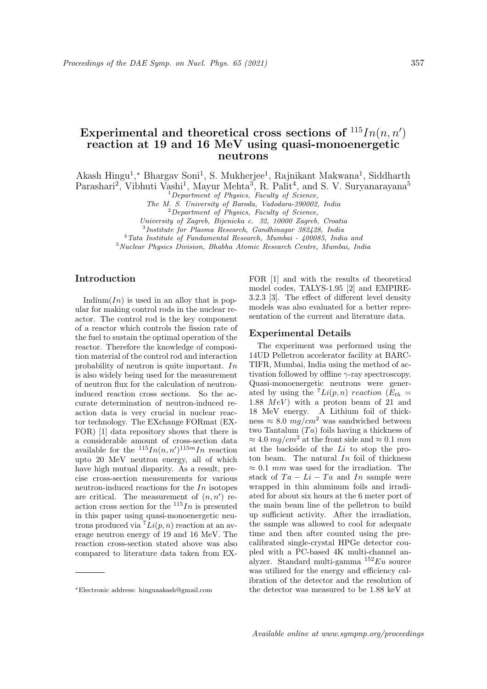# Experimental and theoretical cross sections of  $115In(n, n')$ reaction at 19 and 16 MeV using quasi-monoenergetic neutrons

Akash Hingu<sup>1</sup>,\* Bhargav Soni<sup>1</sup>, S. Mukherjee<sup>1</sup>, Rajnikant Makwana<sup>1</sup>, Siddharth

Parashari<sup>2</sup>, Vibhuti Vashi<sup>1</sup>, Mayur Mehta<sup>3</sup>, R. Palit<sup>4</sup>, and S. V. Suryanarayana<sup>5</sup>

 $1$  Department of Physics, Faculty of Science,

The M. S. University of Baroda, Vadodara-390002, India

 $2$  Department of Physics, Faculty of Science,

University of Zagreb, Bijenicka c. 32, 10000 Zagreb, Croatia

3 Institute for Plasma Research, Gandhinagar 382428, India

<sup>4</sup>Tata Institute of Fundamental Research, Mumbai - 400085, India and <sup>5</sup>Nuclear Physics Division, Bhabha Atomic Research Centre, Mumbai, India

# Introduction

Indium $(In)$  is used in an alloy that is popular for making control rods in the nuclear reactor. The control rod is the key component of a reactor which controls the fission rate of the fuel to sustain the optimal operation of the reactor. Therefore the knowledge of composition material of the control rod and interaction probability of neutron is quite important. In is also widely being used for the measurement of neutron flux for the calculation of neutroninduced reaction cross sections. So the accurate determination of neutron-induced reaction data is very crucial in nuclear reactor technology. The EXchange FORmat (EX-FOR) [1] data repository shows that there is a considerable amount of cross-section data available for the  $^{115}In(n, n')^{115m}In$  reaction upto 20 MeV neutron energy, all of which have high mutual disparity. As a result, precise cross-section measurements for various neutron-induced reactions for the  $In$  isotopes are critical. The measurement of  $(n, n')$  reaction cross section for the  $115In$  is presented in this paper using quasi-monoenergetic neutrons produced via  $^{7}Li(p, n)$  reaction at an average neutron energy of 19 and 16 MeV. The reaction cross-section stated above was also compared to literature data taken from EX-

FOR [1] and with the results of theoretical model codes, TALYS-1.95 [2] and EMPIRE-3.2.3 [3]. The effect of different level density models was also evaluated for a better representation of the current and literature data.

#### Experimental Details

The experiment was performed using the 14UD Pelletron accelerator facility at BARC-TIFR, Mumbai, India using the method of activation followed by offline  $\gamma$ -ray spectroscopy. Quasi-monoenergetic neutrons were generated by using the  $^{7}Li(p, n)$  reaction ( $E_{th}$  = 1.88  $MeV$ ) with a proton beam of 21 and 18 MeV energy. A Lithium foil of thickness  $\approx 8.0 \,\mathrm{mg/cm^2}$  was sandwiched between two Tantalum  $(Ta)$  foils having a thickness of  $\approx 4.0$  mg/cm<sup>2</sup> at the front side and  $\approx 0.1$  mm at the backside of the Li to stop the proton beam. The natural  $In$  foil of thickness  $\approx 0.1$  mm was used for the irradiation. The stack of  $Ta - Li - Ta$  and  $In$  sample were wrapped in thin aluminum foils and irradiated for about six hours at the 6 meter port of the main beam line of the pelletron to build up sufficient activity. After the irradiation, the sample was allowed to cool for adequate time and then after counted using the precalibrated single-crystal HPGe detector coupled with a PC-based 4K multi-channel analyzer. Standard multi-gamma  $152Eu$  source was utilized for the energy and efficiency calibration of the detector and the resolution of the detector was measured to be 1.88 keV at

<sup>∗</sup>Electronic address: hinguaakash@gmail.com